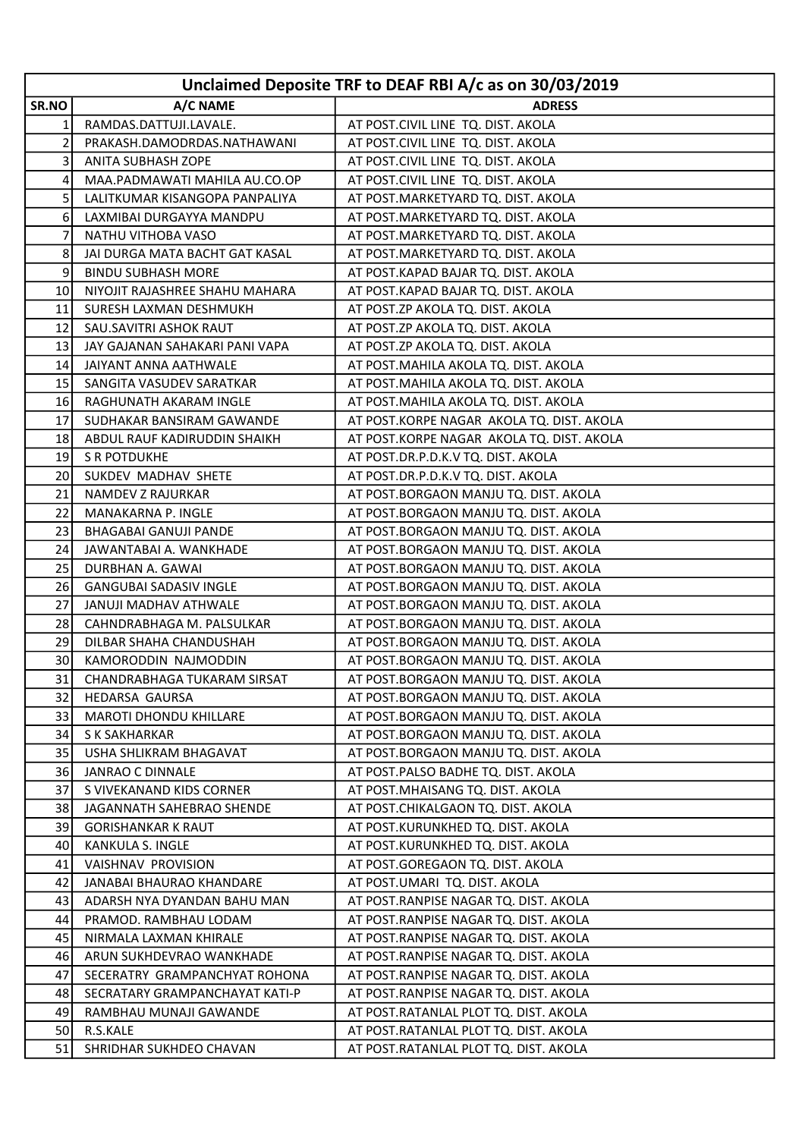| Unclaimed Deposite TRF to DEAF RBI A/c as on 30/03/2019 |                                |                                           |  |
|---------------------------------------------------------|--------------------------------|-------------------------------------------|--|
| SR.NO                                                   | A/C NAME                       | <b>ADRESS</b>                             |  |
| $\mathbf{1}$                                            | RAMDAS.DATTUJI.LAVALE.         | AT POST.CIVIL LINE TQ. DIST. AKOLA        |  |
| $\overline{2}$                                          | PRAKASH.DAMODRDAS.NATHAWANI    | AT POST.CIVIL LINE TQ. DIST. AKOLA        |  |
| $\overline{3}$                                          | ANITA SUBHASH ZOPE             | AT POST.CIVIL LINE TQ. DIST. AKOLA        |  |
| 4                                                       | MAA.PADMAWATI MAHILA AU.CO.OP  | AT POST.CIVIL LINE TQ. DIST. AKOLA        |  |
| 5 <sup>1</sup>                                          | LALITKUMAR KISANGOPA PANPALIYA | AT POST. MARKETYARD TQ. DIST. AKOLA       |  |
| $6\vert$                                                | LAXMIBAI DURGAYYA MANDPU       | AT POST. MARKETYARD TQ. DIST. AKOLA       |  |
| 7                                                       | NATHU VITHOBA VASO             | AT POST.MARKETYARD TQ. DIST. AKOLA        |  |
| 8                                                       | JAI DURGA MATA BACHT GAT KASAL | AT POST.MARKETYARD TQ. DIST. AKOLA        |  |
| $\mathsf g$                                             | <b>BINDU SUBHASH MORE</b>      | AT POST.KAPAD BAJAR TQ. DIST. AKOLA       |  |
| 10                                                      | NIYOJIT RAJASHREE SHAHU MAHARA | AT POST.KAPAD BAJAR TQ. DIST. AKOLA       |  |
| 11                                                      | SURESH LAXMAN DESHMUKH         | AT POST.ZP AKOLA TQ. DIST. AKOLA          |  |
| 12                                                      | SAU.SAVITRI ASHOK RAUT         | AT POST.ZP AKOLA TQ. DIST. AKOLA          |  |
| 13                                                      | JAY GAJANAN SAHAKARI PANI VAPA | AT POST.ZP AKOLA TQ. DIST. AKOLA          |  |
| 14                                                      | JAIYANT ANNA AATHWALE          | AT POST. MAHILA AKOLA TQ. DIST. AKOLA     |  |
| 15                                                      | SANGITA VASUDEV SARATKAR       | AT POST. MAHILA AKOLA TQ. DIST. AKOLA     |  |
| 16                                                      | RAGHUNATH AKARAM INGLE         | AT POST. MAHILA AKOLA TQ. DIST. AKOLA     |  |
| 17                                                      | SUDHAKAR BANSIRAM GAWANDE      | AT POST.KORPE NAGAR AKOLA TQ. DIST. AKOLA |  |
| 18                                                      | ABDUL RAUF KADIRUDDIN SHAIKH   | AT POST.KORPE NAGAR AKOLA TQ. DIST. AKOLA |  |
| 19                                                      | <b>S R POTDUKHE</b>            | AT POST.DR.P.D.K.V TQ. DIST. AKOLA        |  |
| 20                                                      | SUKDEV MADHAV SHETE            | AT POST.DR.P.D.K.V TQ. DIST. AKOLA        |  |
| 21                                                      | NAMDEV Z RAJURKAR              | AT POST.BORGAON MANJU TQ. DIST. AKOLA     |  |
| 22                                                      | MANAKARNA P. INGLE             | AT POST.BORGAON MANJU TQ. DIST. AKOLA     |  |
| 23                                                      | <b>BHAGABAI GANUJI PANDE</b>   | AT POST.BORGAON MANJU TQ. DIST. AKOLA     |  |
| 24                                                      | JAWANTABAI A. WANKHADE         | AT POST.BORGAON MANJU TQ. DIST. AKOLA     |  |
| 25                                                      | DURBHAN A. GAWAI               | AT POST.BORGAON MANJU TQ. DIST. AKOLA     |  |
| 26                                                      | <b>GANGUBAI SADASIV INGLE</b>  | AT POST.BORGAON MANJU TQ. DIST. AKOLA     |  |
| 27                                                      | JANUJI MADHAV ATHWALE          | AT POST.BORGAON MANJU TQ. DIST. AKOLA     |  |
| 28                                                      | CAHNDRABHAGA M. PALSULKAR      | AT POST.BORGAON MANJU TQ. DIST. AKOLA     |  |
| 29                                                      | DILBAR SHAHA CHANDUSHAH        | AT POST.BORGAON MANJU TQ. DIST. AKOLA     |  |
| 30                                                      | KAMORODDIN NAJMODDIN           | AT POST.BORGAON MANJU TQ. DIST. AKOLA     |  |
| 31                                                      | CHANDRABHAGA TUKARAM SIRSAT    | AT POST.BORGAON MANJU TQ. DIST. AKOLA     |  |
| 32 <sub>1</sub>                                         | HEDARSA GAURSA                 | AT POST.BORGAON MANJU TQ. DIST. AKOLA     |  |
| 33                                                      | <b>MAROTI DHONDU KHILLARE</b>  | AT POST.BORGAON MANJU TQ. DIST. AKOLA     |  |
| 34                                                      | S K SAKHARKAR                  | AT POST.BORGAON MANJU TQ. DIST. AKOLA     |  |
| 35                                                      | USHA SHLIKRAM BHAGAVAT         | AT POST.BORGAON MANJU TQ. DIST. AKOLA     |  |
| 36                                                      | <b>JANRAO C DINNALE</b>        | AT POST. PALSO BADHE TQ. DIST. AKOLA      |  |
| 37                                                      | S VIVEKANAND KIDS CORNER       | AT POST. MHAISANG TQ. DIST. AKOLA         |  |
| 38                                                      | JAGANNATH SAHEBRAO SHENDE      | AT POST.CHIKALGAON TQ. DIST. AKOLA        |  |
| 39                                                      | <b>GORISHANKAR K RAUT</b>      | AT POST.KURUNKHED TQ. DIST. AKOLA         |  |
| 40                                                      | KANKULA S. INGLE               | AT POST.KURUNKHED TQ. DIST. AKOLA         |  |
| 41                                                      | VAISHNAV PROVISION             | AT POST.GOREGAON TQ. DIST. AKOLA          |  |
| 42                                                      | JANABAI BHAURAO KHANDARE       | AT POST.UMARI TQ. DIST. AKOLA             |  |
| 43                                                      | ADARSH NYA DYANDAN BAHU MAN    | AT POST.RANPISE NAGAR TQ. DIST. AKOLA     |  |
| 44 l                                                    | PRAMOD. RAMBHAU LODAM          | AT POST. RANPISE NAGAR TQ. DIST. AKOLA    |  |
| 45                                                      | NIRMALA LAXMAN KHIRALE         | AT POST.RANPISE NAGAR TQ. DIST. AKOLA     |  |
| 46                                                      | ARUN SUKHDEVRAO WANKHADE       | AT POST. RANPISE NAGAR TQ. DIST. AKOLA    |  |
| 47                                                      | SECERATRY GRAMPANCHYAT ROHONA  | AT POST.RANPISE NAGAR TQ. DIST. AKOLA     |  |
| 48                                                      | SECRATARY GRAMPANCHAYAT KATI-P | AT POST.RANPISE NAGAR TQ. DIST. AKOLA     |  |
| 49                                                      | RAMBHAU MUNAJI GAWANDE         | AT POST.RATANLAL PLOT TQ. DIST. AKOLA     |  |
| 50                                                      | R.S.KALE                       | AT POST.RATANLAL PLOT TQ. DIST. AKOLA     |  |
| 51                                                      | SHRIDHAR SUKHDEO CHAVAN        | AT POST.RATANLAL PLOT TQ. DIST. AKOLA     |  |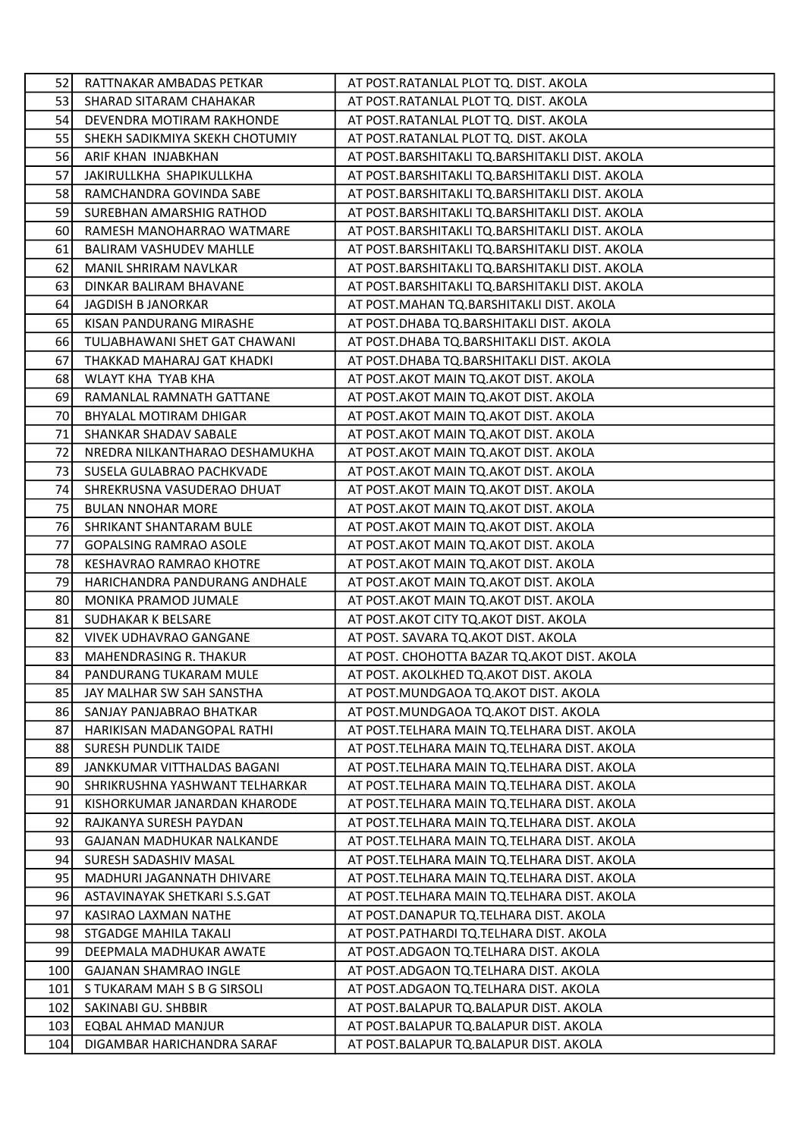| 52 I | RATTNAKAR AMBADAS PETKAR       | AT POST. RATANLAL PLOT TQ. DIST. AKOLA           |
|------|--------------------------------|--------------------------------------------------|
| 53   | SHARAD SITARAM CHAHAKAR        | AT POST.RATANLAL PLOT TQ. DIST. AKOLA            |
| 54 l | DEVENDRA MOTIRAM RAKHONDE      | AT POST.RATANLAL PLOT TQ. DIST. AKOLA            |
| 55   | SHEKH SADIKMIYA SKEKH CHOTUMIY | AT POST.RATANLAL PLOT TQ. DIST. AKOLA            |
| 56   | ARIF KHAN INJABKHAN            | AT POST.BARSHITAKLI TQ.BARSHITAKLI DIST. AKOLA   |
| 57   | JAKIRULLKHA SHAPIKULLKHA       | AT POST.BARSHITAKLI TQ.BARSHITAKLI DIST. AKOLA   |
| 58   | RAMCHANDRA GOVINDA SABE        | AT POST.BARSHITAKLI TQ.BARSHITAKLI DIST. AKOLA   |
| 59   | SUREBHAN AMARSHIG RATHOD       | AT POST.BARSHITAKLI TQ.BARSHITAKLI DIST. AKOLA   |
| 60I  | RAMESH MANOHARRAO WATMARE      | AT POST.BARSHITAKLI TQ.BARSHITAKLI DIST. AKOLA   |
| 61   | <b>BALIRAM VASHUDEV MAHLLE</b> | AT POST. BARSHITAKLI TQ. BARSHITAKLI DIST. AKOLA |
| 62   | MANIL SHRIRAM NAVLKAR          | AT POST.BARSHITAKLI TQ.BARSHITAKLI DIST. AKOLA   |
| 63   | DINKAR BALIRAM BHAVANE         | AT POST.BARSHITAKLI TQ.BARSHITAKLI DIST. AKOLA   |
| 64   | JAGDISH B JANORKAR             | AT POST. MAHAN TQ. BARSHITAKLI DIST. AKOLA       |
| 65   | KISAN PANDURANG MIRASHE        | AT POST.DHABA TQ.BARSHITAKLI DIST. AKOLA         |
| 66   | TULJABHAWANI SHET GAT CHAWANI  | AT POST.DHABA TQ.BARSHITAKLI DIST. AKOLA         |
| 67   | THAKKAD MAHARAJ GAT KHADKI     | AT POST. DHABA TQ. BARSHITAKLI DIST. AKOLA       |
| 68   | WLAYT KHA TYAB KHA             | AT POST. AKOT MAIN TQ. AKOT DIST. AKOLA          |
| 69   | RAMANLAL RAMNATH GATTANE       | AT POST.AKOT MAIN TQ.AKOT DIST. AKOLA            |
| 70   | BHYALAL MOTIRAM DHIGAR         | AT POST. AKOT MAIN TO. AKOT DIST. AKOLA          |
| 71   | SHANKAR SHADAV SABALE          | AT POST. AKOT MAIN TO AKOT DIST. AKOLA           |
| 72   | NREDRA NILKANTHARAO DESHAMUKHA | AT POST. AKOT MAIN TO AKOT DIST. AKOLA           |
| 73   | SUSELA GULABRAO PACHKVADE      | AT POST. AKOT MAIN TQ. AKOT DIST. AKOLA          |
| 74I  | SHREKRUSNA VASUDERAO DHUAT     | AT POST. AKOT MAIN TO AKOT DIST. AKOLA           |
| 75   | <b>BULAN NNOHAR MORE</b>       | AT POST. AKOT MAIN TQ. AKOT DIST. AKOLA          |
| 76   | SHRIKANT SHANTARAM BULE        | AT POST. AKOT MAIN TQ. AKOT DIST. AKOLA          |
| 77   | <b>GOPALSING RAMRAO ASOLE</b>  | AT POST. AKOT MAIN TQ. AKOT DIST. AKOLA          |
| 78   | KESHAVRAO RAMRAO KHOTRE        | AT POST. AKOT MAIN TQ. AKOT DIST. AKOLA          |
| 79   | HARICHANDRA PANDURANG ANDHALE  | AT POST. AKOT MAIN TO. AKOT DIST. AKOLA          |
| 80   | MONIKA PRAMOD JUMALE           | AT POST. AKOT MAIN TQ. AKOT DIST. AKOLA          |
| 81   | SUDHAKAR K BELSARE             | AT POST. AKOT CITY TO AKOT DIST. AKOLA           |
| 82   | VIVEK UDHAVRAO GANGANE         | AT POST. SAVARA TQ.AKOT DIST. AKOLA              |
| 83   | MAHENDRASING R. THAKUR         | AT POST. CHOHOTTA BAZAR TQ.AKOT DIST. AKOLA      |
| 84   | PANDURANG TUKARAM MULE         | AT POST. AKOLKHED TQ.AKOT DIST. AKOLA            |
| 85   | JAY MALHAR SW SAH SANSTHA      | AT POST.MUNDGAOA TQ.AKOT DIST. AKOLA             |
| 86   | SANJAY PANJABRAO BHATKAR       | AT POST.MUNDGAOA TQ.AKOT DIST. AKOLA             |
| 87   | HARIKISAN MADANGOPAL RATHI     | AT POST.TELHARA MAIN TQ.TELHARA DIST. AKOLA      |
| 88   | SURESH PUNDLIK TAIDE           | AT POST. TELHARA MAIN TQ. TELHARA DIST. AKOLA    |
| 89   | JANKKUMAR VITTHALDAS BAGANI    | AT POST.TELHARA MAIN TQ.TELHARA DIST. AKOLA      |
| 90   | SHRIKRUSHNA YASHWANT TELHARKAR | AT POST. TELHARA MAIN TQ. TELHARA DIST. AKOLA    |
| 91   | KISHORKUMAR JANARDAN KHARODE   | AT POST. TELHARA MAIN TQ. TELHARA DIST. AKOLA    |
| 92   | RAJKANYA SURESH PAYDAN         | AT POST. TELHARA MAIN TQ. TELHARA DIST. AKOLA    |
| 93   | GAJANAN MADHUKAR NALKANDE      | AT POST.TELHARA MAIN TQ.TELHARA DIST. AKOLA      |
| 94   | SURESH SADASHIV MASAL          | AT POST. TELHARA MAIN TQ. TELHARA DIST. AKOLA    |
| 95   | MADHURI JAGANNATH DHIVARE      | AT POST. TELHARA MAIN TQ. TELHARA DIST. AKOLA    |
| 96   | ASTAVINAYAK SHETKARI S.S.GAT   | AT POST.TELHARA MAIN TQ.TELHARA DIST. AKOLA      |
| 97   | KASIRAO LAXMAN NATHE           | AT POST.DANAPUR TQ.TELHARA DIST. AKOLA           |
| 98   | STGADGE MAHILA TAKALI          | AT POST.PATHARDI TQ.TELHARA DIST. AKOLA          |
| 99   | DEEPMALA MADHUKAR AWATE        | AT POST.ADGAON TQ.TELHARA DIST. AKOLA            |
| 100  | <b>GAJANAN SHAMRAO INGLE</b>   | AT POST.ADGAON TQ.TELHARA DIST. AKOLA            |
| 101  | S TUKARAM MAH S B G SIRSOLI    | AT POST.ADGAON TQ.TELHARA DIST. AKOLA            |
| 102  | SAKINABI GU. SHBBIR            | AT POST.BALAPUR TQ.BALAPUR DIST. AKOLA           |
| 103  | EQBAL AHMAD MANJUR             | AT POST.BALAPUR TQ.BALAPUR DIST. AKOLA           |
| 104  | DIGAMBAR HARICHANDRA SARAF     | AT POST.BALAPUR TQ.BALAPUR DIST. AKOLA           |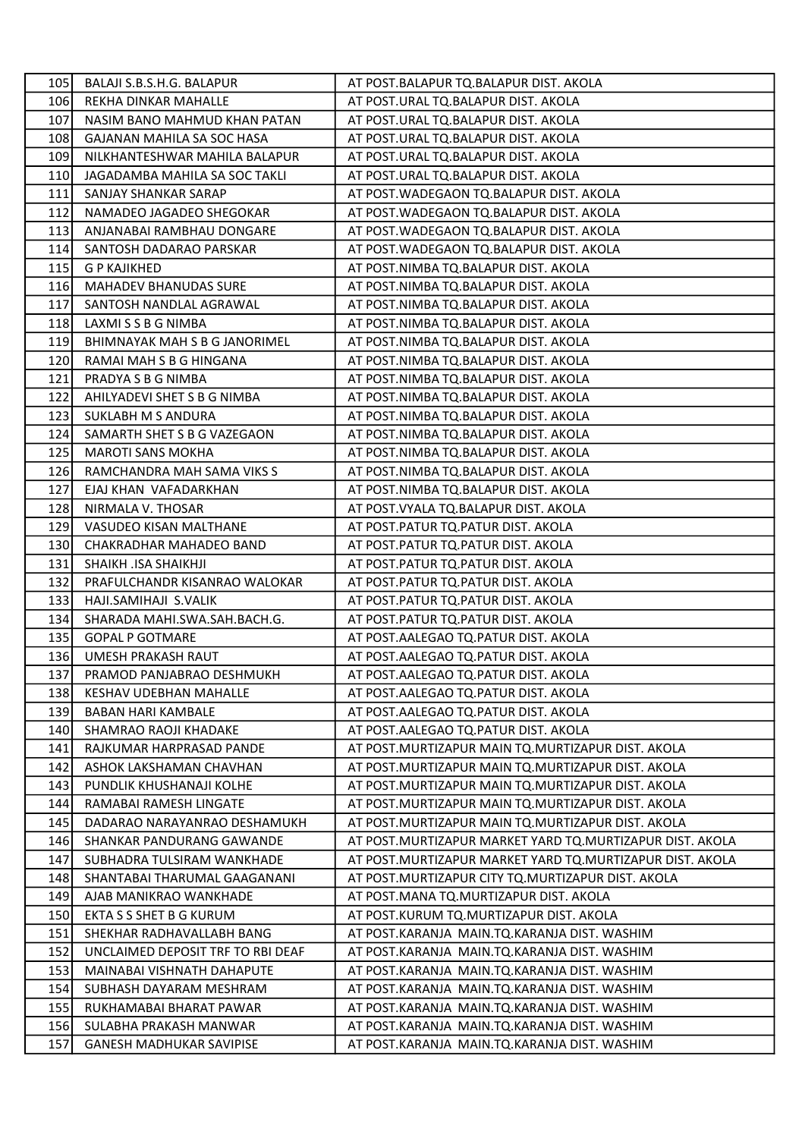| 105 I      | <b>BALAJI S.B.S.H.G. BALAPUR</b>  | AT POST.BALAPUR TQ.BALAPUR DIST. AKOLA                     |
|------------|-----------------------------------|------------------------------------------------------------|
| <b>106</b> | REKHA DINKAR MAHALLE              | AT POST.URAL TQ.BALAPUR DIST. AKOLA                        |
| 107        | NASIM BANO MAHMUD KHAN PATAN      | AT POST.URAL TQ.BALAPUR DIST. AKOLA                        |
| 108        | GAJANAN MAHILA SA SOC HASA        | AT POST.URAL TQ.BALAPUR DIST. AKOLA                        |
| 109        | NILKHANTESHWAR MAHILA BALAPUR     | AT POST.URAL TQ.BALAPUR DIST. AKOLA                        |
| 110        | JAGADAMBA MAHILA SA SOC TAKLI     | AT POST.URAL TQ.BALAPUR DIST. AKOLA                        |
| 111        | SANJAY SHANKAR SARAP              | AT POST. WADEGAON TO BALAPUR DIST. AKOLA                   |
| 112        | NAMADEO JAGADEO SHEGOKAR          | AT POST. WADEGAON TO. BALAPUR DIST. AKOLA                  |
| 113        | ANJANABAI RAMBHAU DONGARE         | AT POST. WADEGAON TQ. BALAPUR DIST. AKOLA                  |
| <b>114</b> | SANTOSH DADARAO PARSKAR           | AT POST. WADEGAON TO. BALAPUR DIST. AKOLA                  |
| 115        | G P KAJIKHED                      | AT POST.NIMBA TQ.BALAPUR DIST. AKOLA                       |
| 116        | MAHADEV BHANUDAS SURE             | AT POST.NIMBA TQ.BALAPUR DIST. AKOLA                       |
| 117        | SANTOSH NANDLAL AGRAWAL           | AT POST.NIMBA TQ.BALAPUR DIST. AKOLA                       |
| 118        | LAXMI S S B G NIMBA               | AT POST.NIMBA TQ.BALAPUR DIST. AKOLA                       |
| 119        | BHIMNAYAK MAH S B G JANORIMEL     | AT POST.NIMBA TQ.BALAPUR DIST. AKOLA                       |
| 120        | RAMAI MAH S B G HINGANA           | AT POST.NIMBA TQ.BALAPUR DIST. AKOLA                       |
| 121        | PRADYA S B G NIMBA                | AT POST.NIMBA TQ.BALAPUR DIST. AKOLA                       |
| 122        | AHILYADEVI SHET S B G NIMBA       | AT POST.NIMBA TQ.BALAPUR DIST. AKOLA                       |
| 123        | SUKLABH M S ANDURA                | AT POST.NIMBA TQ.BALAPUR DIST. AKOLA                       |
| 124        | SAMARTH SHET S B G VAZEGAON       | AT POST.NIMBA TQ.BALAPUR DIST. AKOLA                       |
| 125        | <b>MAROTI SANS MOKHA</b>          | AT POST.NIMBA TQ.BALAPUR DIST. AKOLA                       |
| 126        | RAMCHANDRA MAH SAMA VIKS S        | AT POST.NIMBA TQ.BALAPUR DIST. AKOLA                       |
| 127        | EJAJ KHAN VAFADARKHAN             | AT POST.NIMBA TQ.BALAPUR DIST. AKOLA                       |
| 128        | NIRMALA V. THOSAR                 | AT POST. VYALA TQ. BALAPUR DIST. AKOLA                     |
| 129        | VASUDEO KISAN MALTHANE            | AT POST.PATUR TQ.PATUR DIST. AKOLA                         |
| 130        | CHAKRADHAR MAHADEO BAND           | AT POST.PATUR TQ.PATUR DIST. AKOLA                         |
| 131        | SHAIKH .ISA SHAIKHJI              | AT POST.PATUR TQ.PATUR DIST. AKOLA                         |
| 132        | PRAFULCHANDR KISANRAO WALOKAR     | AT POST.PATUR TQ.PATUR DIST. AKOLA                         |
| 133        | HAJI.SAMIHAJI S.VALIK             | AT POST. PATUR TQ. PATUR DIST. AKOLA                       |
| <b>134</b> | SHARADA MAHI.SWA.SAH.BACH.G.      | AT POST. PATUR TQ. PATUR DIST. AKOLA                       |
| 135        | <b>GOPAL P GOTMARE</b>            | AT POST.AALEGAO TQ.PATUR DIST. AKOLA                       |
| <b>136</b> | UMESH PRAKASH RAUT                | AT POST.AALEGAO TQ.PATUR DIST. AKOLA                       |
| 137        | PRAMOD PANJABRAO DESHMUKH         | AT POST.AALEGAO TQ.PATUR DIST. AKOLA                       |
| 138        | KESHAV UDEBHAN MAHALLE            | AT POST.AALEGAO TQ.PATUR DIST. AKOLA                       |
| 139        | <b>BABAN HARI KAMBALE</b>         | AT POST.AALEGAO TQ.PATUR DIST. AKOLA                       |
| 140        | SHAMRAO RAOJI KHADAKE             | AT POST.AALEGAO TQ.PATUR DIST. AKOLA                       |
| 141        | RAJKUMAR HARPRASAD PANDE          | AT POST. MURTIZAPUR MAIN TO. MURTIZAPUR DIST. AKOLA        |
| 142        | ASHOK LAKSHAMAN CHAVHAN           | AT POST. MURTIZAPUR MAIN TQ. MURTIZAPUR DIST. AKOLA        |
| 143        | PUNDLIK KHUSHANAJI KOLHE          | AT POST. MURTIZAPUR MAIN TO. MURTIZAPUR DIST. AKOLA        |
| 144        | RAMABAI RAMESH LINGATE            | AT POST. MURTIZAPUR MAIN TQ. MURTIZAPUR DIST. AKOLA        |
| 145        | DADARAO NARAYANRAO DESHAMUKH      | AT POST. MURTIZAPUR MAIN TO. MURTIZAPUR DIST. AKOLA        |
| 146        | SHANKAR PANDURANG GAWANDE         | AT POST. MURTIZAPUR MARKET YARD TO. MURTIZAPUR DIST. AKOLA |
| 147        | SUBHADRA TULSIRAM WANKHADE        | AT POST.MURTIZAPUR MARKET YARD TQ.MURTIZAPUR DIST. AKOLA   |
| 148        | SHANTABAI THARUMAL GAAGANANI      | AT POST. MURTIZAPUR CITY TO. MURTIZAPUR DIST. AKOLA        |
| 149        | AJAB MANIKRAO WANKHADE            | AT POST. MANA TQ. MURTIZAPUR DIST. AKOLA                   |
| 150        | EKTA S S SHET B G KURUM           | AT POST.KURUM TQ.MURTIZAPUR DIST. AKOLA                    |
| 151        | SHEKHAR RADHAVALLABH BANG         | AT POST.KARANJA MAIN.TQ.KARANJA DIST. WASHIM               |
| 152        | UNCLAIMED DEPOSIT TRF TO RBI DEAF | AT POST.KARANJA MAIN.TQ.KARANJA DIST. WASHIM               |
| 153        | MAINABAI VISHNATH DAHAPUTE        | AT POST.KARANJA MAIN.TQ.KARANJA DIST. WASHIM               |
| 154        | SUBHASH DAYARAM MESHRAM           | AT POST.KARANJA MAIN.TQ.KARANJA DIST. WASHIM               |
| 155        | RUKHAMABAI BHARAT PAWAR           | AT POST.KARANJA MAIN.TQ.KARANJA DIST. WASHIM               |
| 156        | SULABHA PRAKASH MANWAR            | AT POST.KARANJA MAIN.TQ.KARANJA DIST. WASHIM               |
| 157        | <b>GANESH MADHUKAR SAVIPISE</b>   | AT POST.KARANJA MAIN.TQ.KARANJA DIST. WASHIM               |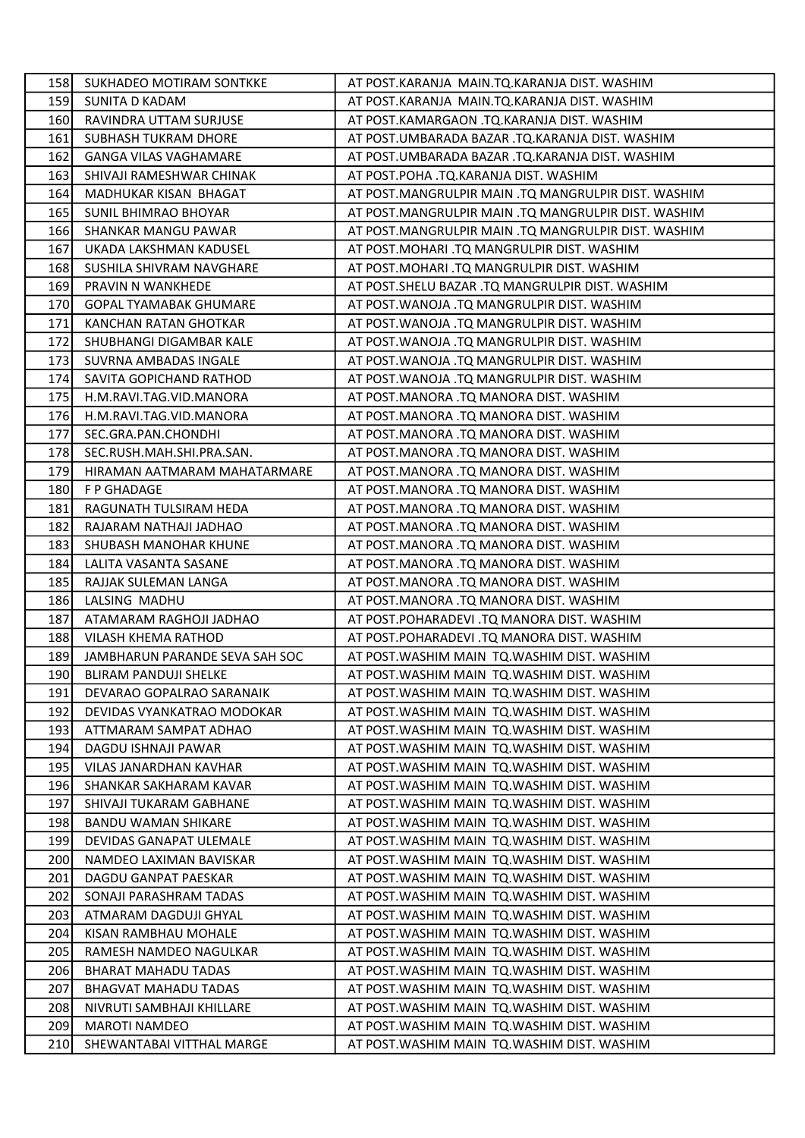| 158        | SUKHADEO MOTIRAM SONTKKE                           | AT POST.KARANJA MAIN.TQ.KARANJA DIST. WASHIM                                             |
|------------|----------------------------------------------------|------------------------------------------------------------------------------------------|
| <b>159</b> | SUNITA D KADAM                                     | AT POST.KARANJA MAIN.TQ.KARANJA DIST. WASHIM                                             |
| 160        | RAVINDRA UTTAM SURJUSE                             | AT POST.KAMARGAON .TQ.KARANJA DIST. WASHIM                                               |
| 161        | SUBHASH TUKRAM DHORE                               | AT POST.UMBARADA BAZAR .TQ.KARANJA DIST. WASHIM                                          |
| 162        | <b>GANGA VILAS VAGHAMARE</b>                       | AT POST.UMBARADA BAZAR .TQ.KARANJA DIST. WASHIM                                          |
| 163        | SHIVAJI RAMESHWAR CHINAK                           | AT POST.POHA .TQ.KARANJA DIST. WASHIM                                                    |
| 164        | MADHUKAR KISAN BHAGAT                              | AT POST.MANGRULPIR MAIN .TQ MANGRULPIR DIST. WASHIM                                      |
| 165        | SUNIL BHIMRAO BHOYAR                               | AT POST.MANGRULPIR MAIN .TQ MANGRULPIR DIST. WASHIM                                      |
| 166        | SHANKAR MANGU PAWAR                                | AT POST.MANGRULPIR MAIN .TQ MANGRULPIR DIST. WASHIM                                      |
| 167        | UKADA LAKSHMAN KADUSEL                             | AT POST. MOHARI .TQ MANGRULPIR DIST. WASHIM                                              |
| 168        | SUSHILA SHIVRAM NAVGHARE                           | AT POST. MOHARI .TQ MANGRULPIR DIST. WASHIM                                              |
| 169        | PRAVIN N WANKHEDE                                  | AT POST. SHELU BAZAR .TQ MANGRULPIR DIST. WASHIM                                         |
| 170        | <b>GOPAL TYAMABAK GHUMARE</b>                      | AT POST. WANOJA .TQ MANGRULPIR DIST. WASHIM                                              |
| 171        | KANCHAN RATAN GHOTKAR                              | AT POST. WANOJA .TQ MANGRULPIR DIST. WASHIM                                              |
| 172        | SHUBHANGI DIGAMBAR KALE                            | AT POST. WANOJA .TQ MANGRULPIR DIST. WASHIM                                              |
| 173        | SUVRNA AMBADAS INGALE                              | AT POST. WANOJA .TQ MANGRULPIR DIST. WASHIM                                              |
| 174        | SAVITA GOPICHAND RATHOD                            |                                                                                          |
| 175        |                                                    | AT POST. WANOJA .TQ MANGRULPIR DIST. WASHIM                                              |
| 176        | H.M.RAVI.TAG.VID.MANORA<br>H.M.RAVI.TAG.VID.MANORA | AT POST.MANORA .TQ MANORA DIST. WASHIM                                                   |
|            | SEC.GRA.PAN.CHONDHI                                | AT POST.MANORA .TQ MANORA DIST. WASHIM                                                   |
| 177        |                                                    | AT POST.MANORA .TQ MANORA DIST. WASHIM                                                   |
| 178        | SEC.RUSH.MAH.SHI.PRA.SAN.                          | AT POST.MANORA .TQ MANORA DIST. WASHIM                                                   |
| 179        | HIRAMAN AATMARAM MAHATARMARE                       | AT POST.MANORA .TQ MANORA DIST. WASHIM                                                   |
| 180        | F P GHADAGE                                        | AT POST.MANORA .TQ MANORA DIST. WASHIM                                                   |
| 181        | RAGUNATH TULSIRAM HEDA                             | AT POST.MANORA .TQ MANORA DIST. WASHIM                                                   |
| 182        | RAJARAM NATHAJI JADHAO                             | AT POST.MANORA .TQ MANORA DIST. WASHIM                                                   |
| 183        | SHUBASH MANOHAR KHUNE                              | AT POST.MANORA .TQ MANORA DIST. WASHIM                                                   |
| 184        | LALITA VASANTA SASANE                              | AT POST. MANORA .TQ MANORA DIST. WASHIM                                                  |
| 185        | RAJJAK SULEMAN LANGA                               | AT POST.MANORA .TQ MANORA DIST. WASHIM                                                   |
| 186        | LALSING MADHU                                      | AT POST.MANORA .TQ MANORA DIST. WASHIM                                                   |
| 187        | ATAMARAM RAGHOJI JADHAO                            | AT POST.POHARADEVI .TQ MANORA DIST. WASHIM<br>AT POST.POHARADEVI .TQ MANORA DIST. WASHIM |
| 188        | VILASH KHEMA RATHOD                                |                                                                                          |
| 189<br>190 | JAMBHARUN PARANDE SEVA SAH SOC                     | AT POST. WASHIM MAIN TO. WASHIM DIST. WASHIM                                             |
|            | <b>BLIRAM PANDUJI SHELKE</b>                       | AT POST. WASHIM MAIN TQ. WASHIM DIST. WASHIM                                             |
| 191        | DEVARAO GOPALRAO SARANAIK                          | AT POST. WASHIM MAIN TO. WASHIM DIST. WASHIM                                             |
| 192        | DEVIDAS VYANKATRAO MODOKAR                         | AT POST. WASHIM MAIN TQ. WASHIM DIST. WASHIM                                             |
| 193        | ATTMARAM SAMPAT ADHAO                              | AT POST. WASHIM MAIN TO. WASHIM DIST. WASHIM                                             |
| 194        | DAGDU ISHNAJI PAWAR                                | AT POST. WASHIM MAIN TO. WASHIM DIST. WASHIM                                             |
| 195        | VILAS JANARDHAN KAVHAR                             | AT POST. WASHIM MAIN TQ. WASHIM DIST. WASHIM                                             |
| 196        | SHANKAR SAKHARAM KAVAR                             | AT POST. WASHIM MAIN TQ. WASHIM DIST. WASHIM                                             |
| 197        | SHIVAJI TUKARAM GABHANE                            | AT POST. WASHIM MAIN TQ. WASHIM DIST. WASHIM                                             |
| 198        | <b>BANDU WAMAN SHIKARE</b>                         | AT POST. WASHIM MAIN TQ. WASHIM DIST. WASHIM                                             |
| 199        | DEVIDAS GANAPAT ULEMALE                            | AT POST. WASHIM MAIN TO. WASHIM DIST. WASHIM                                             |
| 200        | NAMDEO LAXIMAN BAVISKAR                            | AT POST. WASHIM MAIN TO. WASHIM DIST. WASHIM                                             |
| 201        | DAGDU GANPAT PAESKAR                               | AT POST. WASHIM MAIN TQ. WASHIM DIST. WASHIM                                             |
| 202        | SONAJI PARASHRAM TADAS                             | AT POST. WASHIM MAIN TQ. WASHIM DIST. WASHIM                                             |
| 203        | ATMARAM DAGDUJI GHYAL                              | AT POST. WASHIM MAIN TO. WASHIM DIST. WASHIM                                             |
| 204        | KISAN RAMBHAU MOHALE                               | AT POST. WASHIM MAIN TO. WASHIM DIST. WASHIM                                             |
| 205        | RAMESH NAMDEO NAGULKAR                             | AT POST. WASHIM MAIN TO. WASHIM DIST. WASHIM                                             |
| 206        | <b>BHARAT MAHADU TADAS</b>                         | AT POST. WASHIM MAIN TQ. WASHIM DIST. WASHIM                                             |
| 207        | BHAGVAT MAHADU TADAS                               | AT POST. WASHIM MAIN TO. WASHIM DIST. WASHIM                                             |
| 208        | NIVRUTI SAMBHAJI KHILLARE                          | AT POST. WASHIM MAIN TQ. WASHIM DIST. WASHIM                                             |
| 209        | <b>MAROTI NAMDEO</b>                               | AT POST. WASHIM MAIN TQ. WASHIM DIST. WASHIM                                             |
| 210        | SHEWANTABAI VITTHAL MARGE                          | AT POST. WASHIM MAIN TQ. WASHIM DIST. WASHIM                                             |